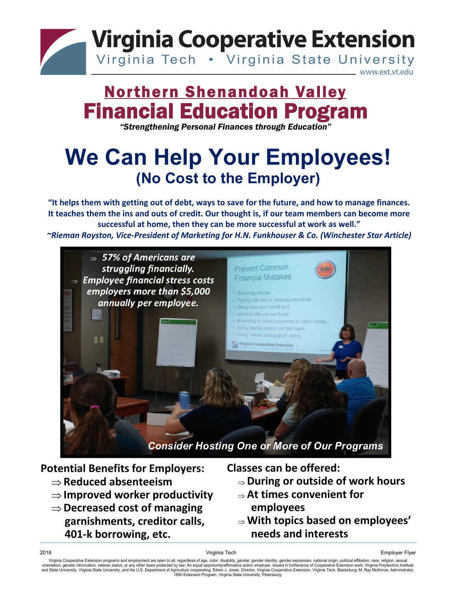

# **Northern Shenandoah Valley<br>
Financial Education Program<br>
"Strengthening Personal Finances through Education"**

### **We Can Help Your Employees! (No Cost to the Employer)**

"It helps them with getting out of debt, ways to save for the future, and how to manage finances. It teaches them the ins and outs of credit. Our thought is, if our team members can become more **successful at home, then they can be more successful at work as well."**

*~Rieman Royston, Vice‐President of Marketing for H.N. Funkhouser & Co. (Winchester Star Article)*



**Potential Benefits for Employers:**

- **Reduced absenteeism**
- **Improved worker productivity**
- **Decreased cost of managing garnishments, creditor calls, 401‐k borrowing, etc.**

**Classes can be offered:**

- **During or outside of work hours**
- **At times convenient for employees**
- **With topics based on employees' needs and interests**

Virginia Cooperative Extension programs and employment are open to all, regardless of age, color, disability, gender, gender identity, gender expression, national origin, political affiliation, race, religion, sexual orientation, genetic information, veteran status, or any other basis protected by law. An equal opportunity/affirmative action employer. Issued in furtherance of Cooperative Extension work, Virginia Polytechnic Institute<br>a 1890 Extension Program, Virginia State University, Petersburg.